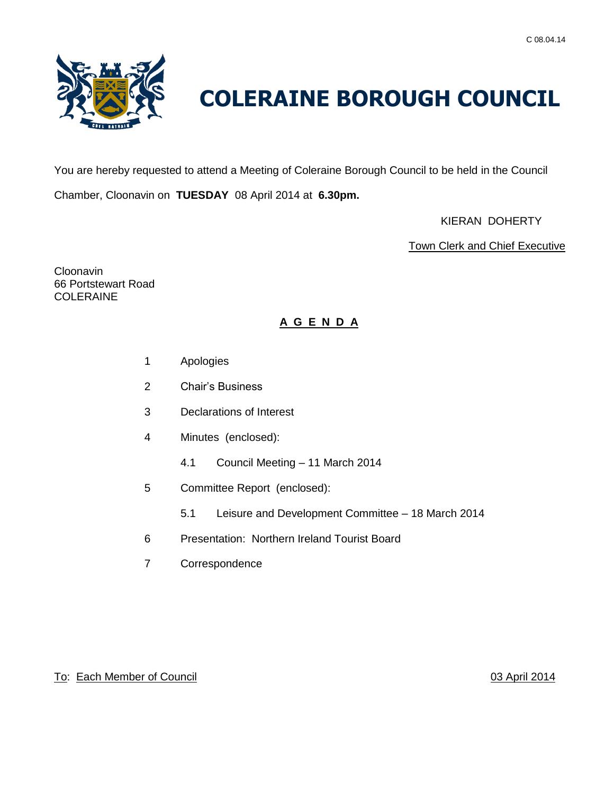

# **COLERAINE BOROUGH COUNCIL**

You are hereby requested to attend a Meeting of Coleraine Borough Council to be held in the Council

Chamber, Cloonavin on **TUESDAY** 08 April 2014 at **6.30pm.**

KIERAN DOHERTY

Town Clerk and Chief Executive

**Cloonavin** 66 Portstewart Road COLERAINE

# **A G E N D A**

- 1 Apologies
- 2 Chair's Business
- 3 Declarations of Interest
- 4 Minutes (enclosed):
	- 4.1 Council Meeting 11 March 2014
- 5 Committee Report (enclosed):
	- 5.1 Leisure and Development Committee 18 March 2014
- 6 Presentation: Northern Ireland Tourist Board
- 7 Correspondence

# To: Each Member of Council **1996** Council 1997 Council 1997 Council 1997 Council 1997 Council 1997 Council 1997 Council 1997 Council 1997 Council 1997 Council 1997 Council 1997 Council 1997 Council 1997 Council 1997 Counci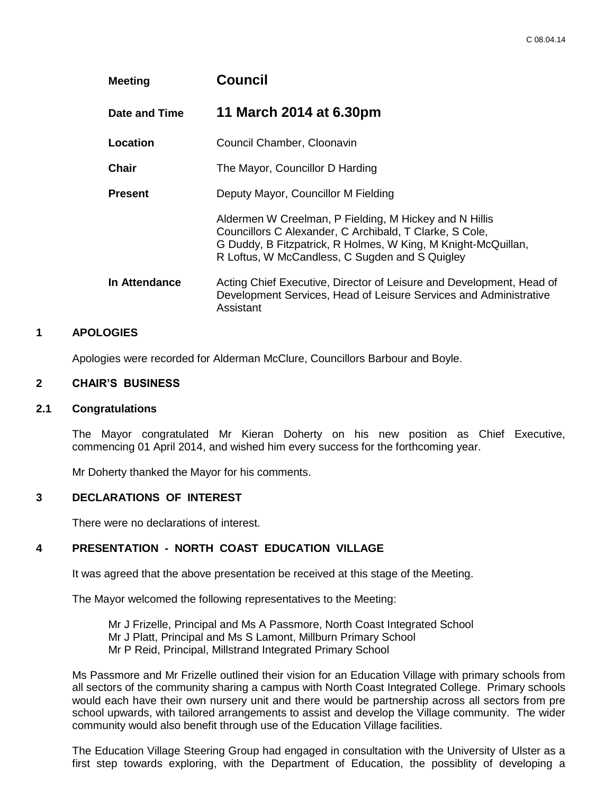| <b>Meeting</b> | <b>Council</b>                                                                                                                                                                                                                       |
|----------------|--------------------------------------------------------------------------------------------------------------------------------------------------------------------------------------------------------------------------------------|
| Date and Time  | 11 March 2014 at 6.30pm                                                                                                                                                                                                              |
| Location       | Council Chamber, Cloonavin                                                                                                                                                                                                           |
| Chair          | The Mayor, Councillor D Harding                                                                                                                                                                                                      |
| <b>Present</b> | Deputy Mayor, Councillor M Fielding                                                                                                                                                                                                  |
|                | Aldermen W Creelman, P Fielding, M Hickey and N Hillis<br>Councillors C Alexander, C Archibald, T Clarke, S Cole,<br>G Duddy, B Fitzpatrick, R Holmes, W King, M Knight-McQuillan,<br>R Loftus, W McCandless, C Sugden and S Quigley |
| In Attendance  | Acting Chief Executive, Director of Leisure and Development, Head of<br>Development Services, Head of Leisure Services and Administrative<br>Assistant                                                                               |

# **1 APOLOGIES**

Apologies were recorded for Alderman McClure, Councillors Barbour and Boyle.

#### **2 CHAIR'S BUSINESS**

#### **2.1 Congratulations**

The Mayor congratulated Mr Kieran Doherty on his new position as Chief Executive, commencing 01 April 2014, and wished him every success for the forthcoming year.

Mr Doherty thanked the Mayor for his comments.

#### **3 DECLARATIONS OF INTEREST**

There were no declarations of interest.

# **4 PRESENTATION - NORTH COAST EDUCATION VILLAGE**

It was agreed that the above presentation be received at this stage of the Meeting.

The Mayor welcomed the following representatives to the Meeting:

Mr J Frizelle, Principal and Ms A Passmore, North Coast Integrated School Mr J Platt, Principal and Ms S Lamont, Millburn Primary School Mr P Reid, Principal, Millstrand Integrated Primary School

Ms Passmore and Mr Frizelle outlined their vision for an Education Village with primary schools from all sectors of the community sharing a campus with North Coast Integrated College. Primary schools would each have their own nursery unit and there would be partnership across all sectors from pre school upwards, with tailored arrangements to assist and develop the Village community. The wider community would also benefit through use of the Education Village facilities.

The Education Village Steering Group had engaged in consultation with the University of Ulster as a first step towards exploring, with the Department of Education, the possiblity of developing a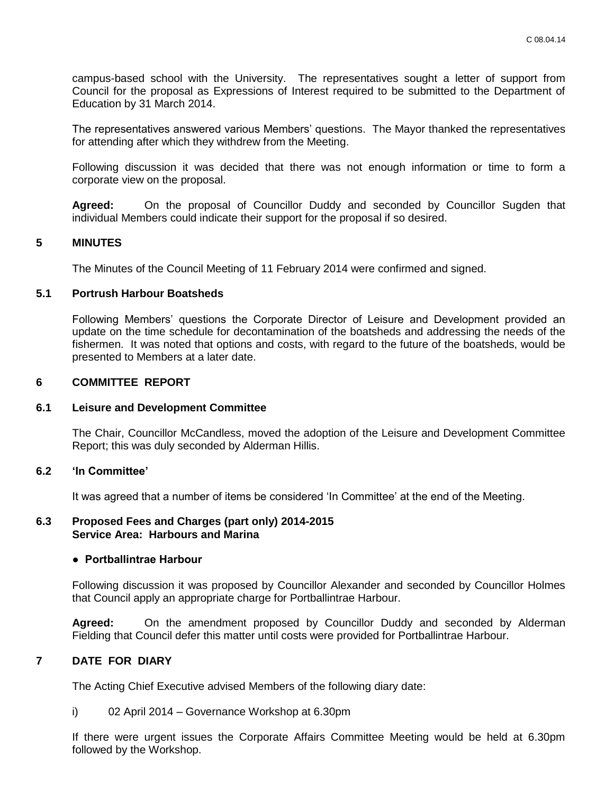campus-based school with the University. The representatives sought a letter of support from Council for the proposal as Expressions of Interest required to be submitted to the Department of Education by 31 March 2014.

The representatives answered various Members' questions. The Mayor thanked the representatives for attending after which they withdrew from the Meeting.

Following discussion it was decided that there was not enough information or time to form a corporate view on the proposal.

**Agreed:** On the proposal of Councillor Duddy and seconded by Councillor Sugden that individual Members could indicate their support for the proposal if so desired.

#### **5 MINUTES**

The Minutes of the Council Meeting of 11 February 2014 were confirmed and signed.

#### **5.1 Portrush Harbour Boatsheds**

Following Members' questions the Corporate Director of Leisure and Development provided an update on the time schedule for decontamination of the boatsheds and addressing the needs of the fishermen. It was noted that options and costs, with regard to the future of the boatsheds, would be presented to Members at a later date.

#### **6 COMMITTEE REPORT**

#### **6.1 Leisure and Development Committee**

The Chair, Councillor McCandless, moved the adoption of the Leisure and Development Committee Report; this was duly seconded by Alderman Hillis.

#### **6.2 'In Committee'**

It was agreed that a number of items be considered 'In Committee' at the end of the Meeting.

#### **6.3 Proposed Fees and Charges (part only) 2014-2015 Service Area: Harbours and Marina**

#### **● Portballintrae Harbour**

Following discussion it was proposed by Councillor Alexander and seconded by Councillor Holmes that Council apply an appropriate charge for Portballintrae Harbour.

**Agreed:** On the amendment proposed by Councillor Duddy and seconded by Alderman Fielding that Council defer this matter until costs were provided for Portballintrae Harbour.

# **7 DATE FOR DIARY**

The Acting Chief Executive advised Members of the following diary date:

i) 02 April 2014 – Governance Workshop at 6.30pm

If there were urgent issues the Corporate Affairs Committee Meeting would be held at 6.30pm followed by the Workshop.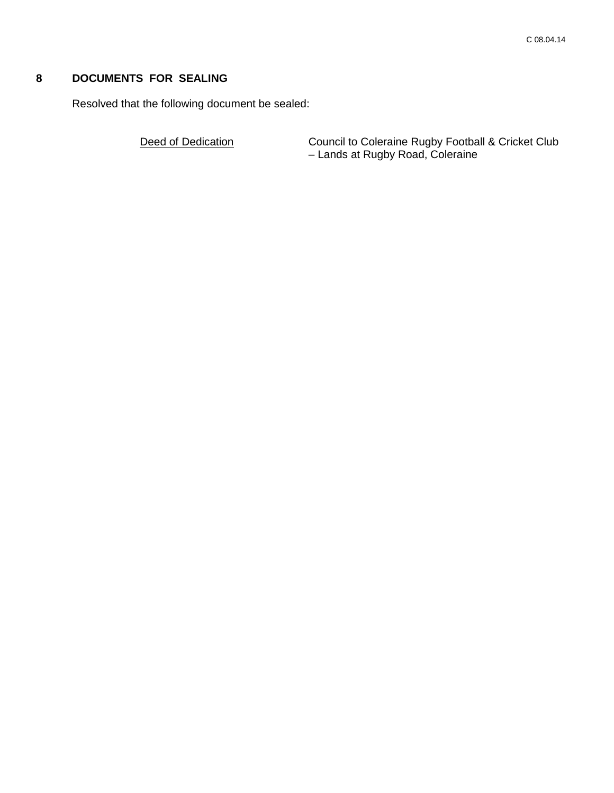# **8 DOCUMENTS FOR SEALING**

Resolved that the following document be sealed:

Deed of Dedication **Council to Coleraine Rugby Football & Cricket Club** – Lands at Rugby Road, Coleraine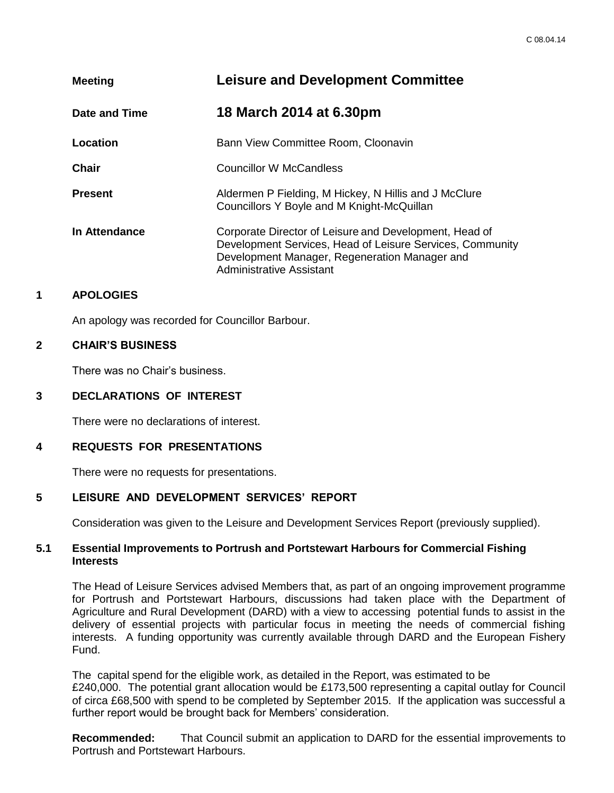| <b>Meeting</b> | <b>Leisure and Development Committee</b>                                                                                                                                                         |
|----------------|--------------------------------------------------------------------------------------------------------------------------------------------------------------------------------------------------|
| Date and Time  | 18 March 2014 at 6.30pm                                                                                                                                                                          |
| Location       | Bann View Committee Room, Cloonavin                                                                                                                                                              |
| <b>Chair</b>   | <b>Councillor W McCandless</b>                                                                                                                                                                   |
| <b>Present</b> | Aldermen P Fielding, M Hickey, N Hillis and J McClure<br>Councillors Y Boyle and M Knight-McQuillan                                                                                              |
| In Attendance  | Corporate Director of Leisure and Development, Head of<br>Development Services, Head of Leisure Services, Community<br>Development Manager, Regeneration Manager and<br>Administrative Assistant |

# **1 APOLOGIES**

An apology was recorded for Councillor Barbour.

#### **2 CHAIR'S BUSINESS**

There was no Chair's business.

# **3 DECLARATIONS OF INTEREST**

There were no declarations of interest.

# **4 REQUESTS FOR PRESENTATIONS**

There were no requests for presentations.

# **5 LEISURE AND DEVELOPMENT SERVICES' REPORT**

Consideration was given to the Leisure and Development Services Report (previously supplied).

#### **5.1 Essential Improvements to Portrush and Portstewart Harbours for Commercial Fishing Interests**

The Head of Leisure Services advised Members that, as part of an ongoing improvement programme for Portrush and Portstewart Harbours, discussions had taken place with the Department of Agriculture and Rural Development (DARD) with a view to accessing potential funds to assist in the delivery of essential projects with particular focus in meeting the needs of commercial fishing interests. A funding opportunity was currently available through DARD and the European Fishery Fund.

The capital spend for the eligible work, as detailed in the Report, was estimated to be £240,000. The potential grant allocation would be £173,500 representing a capital outlay for Council of circa £68,500 with spend to be completed by September 2015. If the application was successful a further report would be brought back for Members' consideration.

**Recommended:** That Council submit an application to DARD for the essential improvements to Portrush and Portstewart Harbours.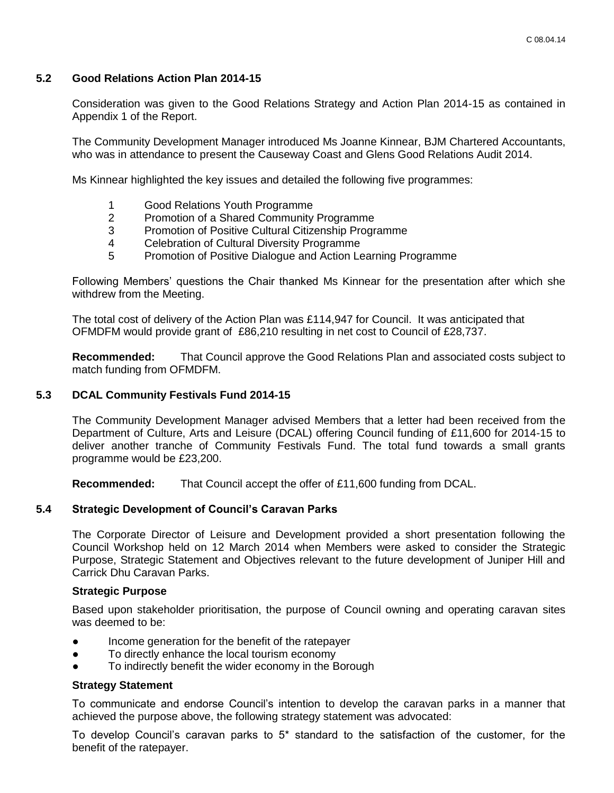# **5.2 Good Relations Action Plan 2014-15**

Consideration was given to the Good Relations Strategy and Action Plan 2014-15 as contained in Appendix 1 of the Report.

The Community Development Manager introduced Ms Joanne Kinnear, BJM Chartered Accountants, who was in attendance to present the Causeway Coast and Glens Good Relations Audit 2014.

Ms Kinnear highlighted the key issues and detailed the following five programmes:

- 1 Good Relations Youth Programme
- 2 Promotion of a Shared Community Programme
- 3 Promotion of Positive Cultural Citizenship Programme
- 4 Celebration of Cultural Diversity Programme
- 5 Promotion of Positive Dialogue and Action Learning Programme

Following Members' questions the Chair thanked Ms Kinnear for the presentation after which she withdrew from the Meeting.

The total cost of delivery of the Action Plan was £114,947 for Council. It was anticipated that OFMDFM would provide grant of £86,210 resulting in net cost to Council of £28,737.

**Recommended:** That Council approve the Good Relations Plan and associated costs subject to match funding from OFMDFM.

# **5.3 DCAL Community Festivals Fund 2014-15**

The Community Development Manager advised Members that a letter had been received from the Department of Culture, Arts and Leisure (DCAL) offering Council funding of £11,600 for 2014-15 to deliver another tranche of Community Festivals Fund. The total fund towards a small grants programme would be £23,200.

**Recommended:** That Council accept the offer of £11,600 funding from DCAL.

#### **5.4 Strategic Development of Council's Caravan Parks**

The Corporate Director of Leisure and Development provided a short presentation following the Council Workshop held on 12 March 2014 when Members were asked to consider the Strategic Purpose, Strategic Statement and Objectives relevant to the future development of Juniper Hill and Carrick Dhu Caravan Parks.

#### **Strategic Purpose**

Based upon stakeholder prioritisation, the purpose of Council owning and operating caravan sites was deemed to be:

- Income generation for the benefit of the ratepayer
- To directly enhance the local tourism economy
- To indirectly benefit the wider economy in the Borough

#### **Strategy Statement**

To communicate and endorse Council's intention to develop the caravan parks in a manner that achieved the purpose above, the following strategy statement was advocated:

To develop Council's caravan parks to 5\* standard to the satisfaction of the customer, for the benefit of the ratepayer.